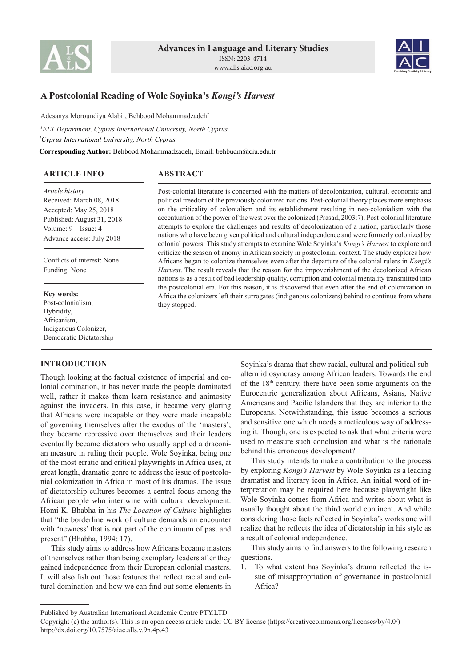



# **A Postcolonial Reading of Wole Soyinka's** *Kongi's Harvest*

Adesanya Moroundiya Alabi<sup>1</sup>, Behbood Mohammadzadeh<sup>2</sup>

*1 ELT Department, Cyprus International University, North Cyprus <sup>2</sup>Cyprus International University, North Cyprus* **Corresponding Author:** Behbood Mohammadzadeh, Email: behbudm@ciu.edu.tr

**ARTICLE INFO**

# **ABSTRACT**

*Article history* Received: March 08, 2018 Accepted: May 25, 2018 Published: August 31, 2018 Volume: 9 Issue: 4 Advance access: July 2018

Conflicts of interest: None Funding: None

**Key words:** Post-colonialism, Hybridity, Africanism, Indigenous Colonizer, Democratic Dictatorship

# **INTRODUCTION**

Though looking at the factual existence of imperial and colonial domination, it has never made the people dominated well, rather it makes them learn resistance and animosity against the invaders. In this case, it became very glaring that Africans were incapable or they were made incapable of governing themselves after the exodus of the 'masters'; they became repressive over themselves and their leaders eventually became dictators who usually applied a draconian measure in ruling their people. Wole Soyinka, being one of the most erratic and critical playwrights in Africa uses, at great length, dramatic genre to address the issue of postcolonial colonization in Africa in most of his dramas. The issue of dictatorship cultures becomes a central focus among the African people who intertwine with cultural development. Homi K. Bhabha in his *The Location of Culture* highlights that "the borderline work of culture demands an encounter with 'newness' that is not part of the continuum of past and present" (Bhabha, 1994: 17).

This study aims to address how Africans became masters of themselves rather than being exemplary leaders after they gained independence from their European colonial masters. It will also fish out those features that reflect racial and cultural domination and how we can find out some elements in

Post-colonial literature is concerned with the matters of decolonization, cultural, economic and political freedom of the previously colonized nations. Post-colonial theory places more emphasis on the criticality of colonialism and its establishment resulting in neo-colonialism with the accentuation of the power of the west over the colonized (Prasad, 2003:7). Post-colonial literature attempts to explore the challenges and results of decolonization of a nation, particularly those nations who have been given political and cultural independence and were formerly colonized by colonial powers. This study attempts to examine Wole Soyinka's *Kongi's Harvest* to explore and criticize the season of anomy in African society in postcolonial context. The study explores how Africans began to colonize themselves even after the departure of the colonial rulers in *Kongi's Harvest*. The result reveals that the reason for the impoverishment of the decolonized African nations is as a result of bad leadership quality, corruption and colonial mentality transmitted into the postcolonial era. For this reason, it is discovered that even after the end of colonization in Africa the colonizers left their surrogates (indigenous colonizers) behind to continue from where they stopped.

> Soyinka's drama that show racial, cultural and political subaltern idiosyncrasy among African leaders. Towards the end of the 18th century, there have been some arguments on the Eurocentric generalization about Africans, Asians, Native Americans and Pacific Islanders that they are inferior to the Europeans. Notwithstanding, this issue becomes a serious and sensitive one which needs a meticulous way of addressing it. Though, one is expected to ask that what criteria were used to measure such conclusion and what is the rationale behind this erroneous development?

> This study intends to make a contribution to the process by exploring *Kongi's Harvest* by Wole Soyinka as a leading dramatist and literary icon in Africa. An initial word of interpretation may be required here because playwright like Wole Soyinka comes from Africa and writes about what is usually thought about the third world continent. And while considering those facts reflected in Soyinka's works one will realize that he reflects the idea of dictatorship in his style as a result of colonial independence.

> This study aims to find answers to the following research questions.

> 1. To what extent has Soyinka's drama reflected the issue of misappropriation of governance in postcolonial Africa?

Published by Australian International Academic Centre PTY.LTD.

Copyright (c) the author(s). This is an open access article under CC BY license (https://creativecommons.org/licenses/by/4.0/) http://dx.doi.org/10.7575/aiac.alls.v.9n.4p.43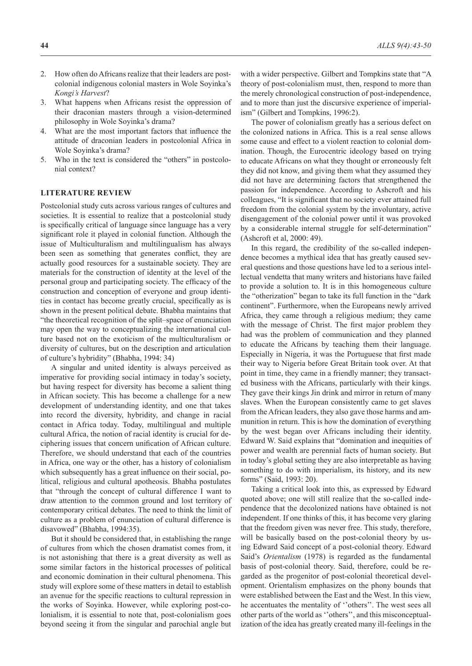- 2. How often do Africans realize that their leaders are postcolonial indigenous colonial masters in Wole Soyinka's *Kongi's Harvest*?
- 3. What happens when Africans resist the oppression of their draconian masters through a vision-determined philosophy in Wole Soyinka's drama?
- 4. What are the most important factors that influence the attitude of draconian leaders in postcolonial Africa in Wole Soyinka's drama?
- 5. Who in the text is considered the "others" in postcolonial context?

# **LITERATURE REVIEW**

Postcolonial study cuts across various ranges of cultures and societies. It is essential to realize that a postcolonial study is specifically critical of language since language has a very significant role it played in colonial function. Although the issue of Multiculturalism and multilingualism has always been seen as something that generates conflict, they are actually good resources for a sustainable society. They are materials for the construction of identity at the level of the personal group and participating society. The efficacy of the construction and conception of everyone and group identities in contact has become greatly crucial, specifically as is shown in the present political debate. Bhabha maintains that "the theoretical recognition of the split–space of enunciation may open the way to conceptualizing the international culture based not on the exoticism of the multiculturalism or diversity of cultures, but on the description and articulation of culture's hybridity" (Bhabha, 1994: 34)

A singular and united identity is always perceived as imperative for providing social intimacy in today's society, but having respect for diversity has become a salient thing in African society. This has become a challenge for a new development of understanding identity, and one that takes into record the diversity, hybridity, and change in racial contact in Africa today. Today, multilingual and multiple cultural Africa, the notion of racial identity is crucial for deciphering issues that concern unification of African culture. Therefore, we should understand that each of the countries in Africa, one way or the other, has a history of colonialism which subsequently has a great influence on their social, political, religious and cultural apotheosis. Bhabha postulates that "through the concept of cultural difference I want to draw attention to the common ground and lost territory of contemporary critical debates. The need to think the limit of culture as a problem of enunciation of cultural difference is disavowed" (Bhabha, 1994:35).

But it should be considered that, in establishing the range of cultures from which the chosen dramatist comes from, it is not astonishing that there is a great diversity as well as some similar factors in the historical processes of political and economic domination in their cultural phenomena. This study will explore some of these matters in detail to establish an avenue for the specific reactions to cultural repression in the works of Soyinka. However, while exploring post-colonialism, it is essential to note that, post-colonialism goes beyond seeing it from the singular and parochial angle but with a wider perspective. Gilbert and Tompkins state that "A theory of post-colonialism must, then, respond to more than the merely chronological construction of post-independence, and to more than just the discursive experience of imperialism" (Gilbert and Tompkins, 1996:2).

The power of colonialism greatly has a serious defect on the colonized nations in Africa. This is a real sense allows some cause and effect to a violent reaction to colonial domination. Though, the Eurocentric ideology based on trying to educate Africans on what they thought or erroneously felt they did not know, and giving them what they assumed they did not have are determining factors that strengthened the passion for independence. According to Ashcroft and his colleagues, "It is significant that no society ever attained full freedom from the colonial system by the involuntary, active disengagement of the colonial power until it was provoked by a considerable internal struggle for self-determination" (Ashcroft et al, 2000: 49).

In this regard, the credibility of the so-called independence becomes a mythical idea that has greatly caused several questions and those questions have led to a serious intellectual vendetta that many writers and historians have failed to provide a solution to. It is in this homogeneous culture the "otherization" began to take its full function in the "dark continent". Furthermore, when the Europeans newly arrived Africa, they came through a religious medium; they came with the message of Christ. The first major problem they had was the problem of communication and they planned to educate the Africans by teaching them their language. Especially in Nigeria, it was the Portuguese that first made their way to Nigeria before Great Britain took over. At that point in time, they came in a friendly manner; they transacted business with the Africans, particularly with their kings. They gave their kings Jin drink and mirror in return of many slaves. When the European consistently came to get slaves from the African leaders, they also gave those harms and ammunition in return. This is how the domination of everything by the west began over Africans including their identity. Edward W. Said explains that "domination and inequities of power and wealth are perennial facts of human society. But in today's global setting they are also interpretable as having something to do with imperialism, its history, and its new forms" (Said, 1993: 20).

Taking a critical look into this, as expressed by Edward quoted above; one will still realize that the so-called independence that the decolonized nations have obtained is not independent. If one thinks of this, it has become very glaring that the freedom given was never free. This study, therefore, will be basically based on the post-colonial theory by using Edward Said concept of a post-colonial theory. Edward Said's *Orientalism* (1978) is regarded as the fundamental basis of post-colonial theory. Said, therefore, could be regarded as the progenitor of post-colonial theoretical development. Orientalism emphasizes on the phony bounds that were established between the East and the West. In this view, he accentuates the mentality of ''others''. The west sees all other parts of the world as ''others'', and this misconceptualization of the idea has greatly created many ill-feelings in the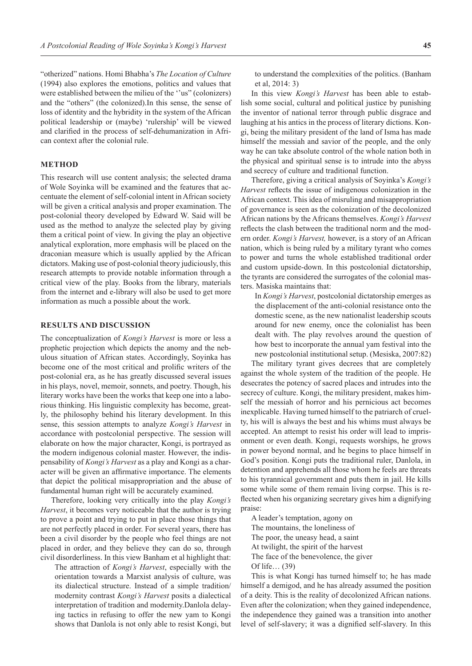"otherized" nations. Homi Bhabha's *The Location of Culture* (1994) also explores the emotions, politics and values that were established between the milieu of the ''us" (colonizers) and the "others" (the colonized).In this sense, the sense of loss of identity and the hybridity in the system of the African political leadership or (maybe) 'rulership' will be viewed and clarified in the process of self-dehumanization in African context after the colonial rule.

### **METHOD**

This research will use content analysis; the selected drama of Wole Soyinka will be examined and the features that accentuate the element of self-colonial intent in African society will be given a critical analysis and proper examination. The post-colonial theory developed by Edward W. Said will be used as the method to analyze the selected play by giving them a critical point of view. In giving the play an objective analytical exploration, more emphasis will be placed on the draconian measure which is usually applied by the African dictators. Making use of post-colonial theory judiciously, this research attempts to provide notable information through a critical view of the play. Books from the library, materials from the internet and e-library will also be used to get more information as much a possible about the work.

#### **RESULTS AND DISCUSSION**

The conceptualization of *Kongi's Harvest* is more or less a prophetic projection which depicts the anomy and the nebulous situation of African states. Accordingly, Soyinka has become one of the most critical and prolific writers of the post-colonial era, as he has greatly discussed several issues in his plays, novel, memoir, sonnets, and poetry. Though, his literary works have been the works that keep one into a laborious thinking. His linguistic complexity has become, greatly, the philosophy behind his literary development. In this sense, this session attempts to analyze *Kongi's Harvest* in accordance with postcolonial perspective. The session will elaborate on how the major character, Kongi, is portrayed as the modern indigenous colonial master. However, the indispensability of *Kongi's Harvest* as a play and Kongi as a character will be given an affirmative importance. The elements that depict the political misappropriation and the abuse of fundamental human right will be accurately examined.

Therefore, looking very critically into the play *Kongi's Harvest*, it becomes very noticeable that the author is trying to prove a point and trying to put in place those things that are not perfectly placed in order. For several years, there has been a civil disorder by the people who feel things are not placed in order, and they believe they can do so, through civil disorderliness. In this view Banham et al highlight that:

The attraction of *Kongi's Harvest*, especially with the orientation towards a Marxist analysis of culture, was its dialectical structure. Instead of a simple tradition/ modernity contrast *Kongi's Harvest* posits a dialectical interpretation of tradition and modernity.Danlola delaying tactics in refusing to offer the new yam to Kongi shows that Danlola is not only able to resist Kongi, but to understand the complexities of the politics. (Banham et al, 2014: 3)

In this view *Kongi's Harvest* has been able to establish some social, cultural and political justice by punishing the inventor of national terror through public disgrace and laughing at his antics in the process of literary dictions. Kongi, being the military president of the land of Isma has made himself the messiah and savior of the people, and the only way he can take absolute control of the whole nation both in the physical and spiritual sense is to intrude into the abyss and secrecy of culture and traditional function.

Therefore, giving a critical analysis of Soyinka's *Kongi's Harvest* reflects the issue of indigenous colonization in the African context. This idea of misruling and misappropriation of governance is seen as the colonization of the decolonized African nations by the Africans themselves. *Kongi's Harvest* reflects the clash between the traditional norm and the modern order. *Kongi's Harvest,* however, is a story of an African nation, which is being ruled by a military tyrant who comes to power and turns the whole established traditional order and custom upside-down. In this postcolonial dictatorship, the tyrants are considered the surrogates of the colonial masters. Masiska maintains that:

In *Kongi's Harvest*, postcolonial dictatorship emerges as the displacement of the anti-colonial resistance onto the domestic scene, as the new nationalist leadership scouts around for new enemy, once the colonialist has been dealt with. The play revolves around the question of how best to incorporate the annual yam festival into the new postcolonial institutional setup. (Mesiska, 2007:82)

The military tyrant gives decrees that are completely against the whole system of the tradition of the people. He desecrates the potency of sacred places and intrudes into the secrecy of culture. Kongi, the military president, makes himself the messiah of horror and his pernicious act becomes inexplicable. Having turned himself to the patriarch of cruelty, his will is always the best and his whims must always be accepted. An attempt to resist his order will lead to imprisonment or even death. Kongi, requests worships, he grows in power beyond normal, and he begins to place himself in God's position. Kongi puts the traditional ruler, Danlola, in detention and apprehends all those whom he feels are threats to his tyrannical government and puts them in jail. He kills some while some of them remain living corpse. This is reflected when his organizing secretary gives him a dignifying praise:

A leader's temptation, agony on The mountains, the loneliness of The poor, the uneasy head, a saint At twilight, the spirit of the harvest The face of the benevolence, the giver Of life… (39)

This is what Kongi has turned himself to; he has made himself a demigod, and he has already assumed the position of a deity. This is the reality of decolonized African nations. Even after the colonization; when they gained independence, the independence they gained was a transition into another level of self-slavery; it was a dignified self-slavery. In this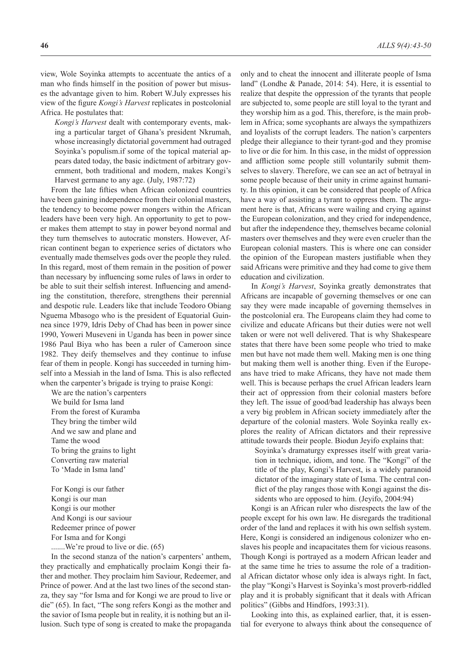view, Wole Soyinka attempts to accentuate the antics of a man who finds himself in the position of power but misuses the advantage given to him. Robert W.July expresses his view of the figure *Kongi's Harvest* replicates in postcolonial Africa. He postulates that:

*Kongi's Harvest* dealt with contemporary events, making a particular target of Ghana's president Nkrumah, whose increasingly dictatorial government had outraged Soyinka's populism.if some of the topical material appears dated today, the basic indictment of arbitrary government, both traditional and modern, makes Kongi's Harvest germane to any age. (July, 1987:72)

From the late fifties when African colonized countries have been gaining independence from their colonial masters, the tendency to become power mongers within the African leaders have been very high. An opportunity to get to power makes them attempt to stay in power beyond normal and they turn themselves to autocratic monsters. However, African continent began to experience series of dictators who eventually made themselves gods over the people they ruled. In this regard, most of them remain in the position of power than necessary by influencing some rules of laws in order to be able to suit their selfish interest. Influencing and amending the constitution, therefore, strengthens their perennial and despotic rule. Leaders like that include Teodoro Obiang Nguema Mbasogo who is the president of Equatorial Guinnea since 1979, Idris Deby of Chad has been in power since 1990, Yoweri Museveni in Uganda has been in power since 1986 Paul Biya who has been a ruler of Cameroon since 1982. They deify themselves and they continue to infuse fear of them in people. Kongi has succeeded in turning himself into a Messiah in the land of Isma. This is also reflected when the carpenter's brigade is trying to praise Kongi:

We are the nation's carpenters We build for Isma land From the forest of Kuramba They bring the timber wild And we saw and plane and Tame the wood To bring the grains to light Converting raw material To 'Made in Isma land'

For Kongi is our father Kongi is our man Kongi is our mother And Kongi is our saviour Redeemer prince of power For Isma and for Kongi

.......We're proud to live or die. (65)

In the second stanza of the nation's carpenters' anthem, they practically and emphatically proclaim Kongi their father and mother. They proclaim him Saviour, Redeemer, and Prince of power. And at the last two lines of the second stanza, they say "for Isma and for Kongi we are proud to live or die" (65). In fact, "The song refers Kongi as the mother and the savior of Isma people but in reality, it is nothing but an illusion. Such type of song is created to make the propaganda only and to cheat the innocent and illiterate people of Isma land" (Londhe & Panade, 2014: 54). Here, it is essential to realize that despite the oppression of the tyrants that people are subjected to, some people are still loyal to the tyrant and they worship him as a god. This, therefore, is the main problem in Africa; some sycophants are always the sympathizers and loyalists of the corrupt leaders. The nation's carpenters pledge their allegiance to their tyrant-god and they promise to live or die for him. In this case, in the midst of oppression and affliction some people still voluntarily submit themselves to slavery. Therefore, we can see an act of betrayal in some people because of their unity in crime against humanity. In this opinion, it can be considered that people of Africa have a way of assisting a tyrant to oppress them. The argument here is that, Africans were wailing and crying against the European colonization, and they cried for independence, but after the independence they, themselves became colonial masters over themselves and they were even crueler than the European colonial masters. This is where one can consider the opinion of the European masters justifiable when they said Africans were primitive and they had come to give them education and civilization.

In *Kongi's Harvest*, Soyinka greatly demonstrates that Africans are incapable of governing themselves or one can say they were made incapable of governing themselves in the postcolonial era. The Europeans claim they had come to civilize and educate Africans but their duties were not well taken or were not well delivered. That is why Shakespeare states that there have been some people who tried to make men but have not made them well. Making men is one thing but making them well is another thing. Even if the Europeans have tried to make Africans, they have not made them well. This is because perhaps the cruel African leaders learn their act of oppression from their colonial masters before they left. The issue of good/bad leadership has always been a very big problem in African society immediately after the departure of the colonial masters. Wole Soyinka really explores the reality of African dictators and their repressive attitude towards their people. Biodun Jeyifo explains that:

Soyinka's dramaturgy expresses itself with great variation in technique, idiom, and tone. The "Kongi" of the title of the play, Kongi's Harvest, is a widely paranoid dictator of the imaginary state of Isma. The central conflict of the play ranges those with Kongi against the dissidents who are opposed to him. (Jeyifo, 2004:94)

Kongi is an African ruler who disrespects the law of the people except for his own law. He disregards the traditional order of the land and replaces it with his own selfish system. Here, Kongi is considered an indigenous colonizer who enslaves his people and incapacitates them for vicious reasons. Though Kongi is portrayed as a modern African leader and at the same time he tries to assume the role of a traditional African dictator whose only idea is always right. In fact, the play "Kongi's Harvest is Soyinka's most proverb-riddled play and it is probably significant that it deals with African politics" (Gibbs and Hindfors, 1993:31).

Looking into this, as explained earlier, that, it is essential for everyone to always think about the consequence of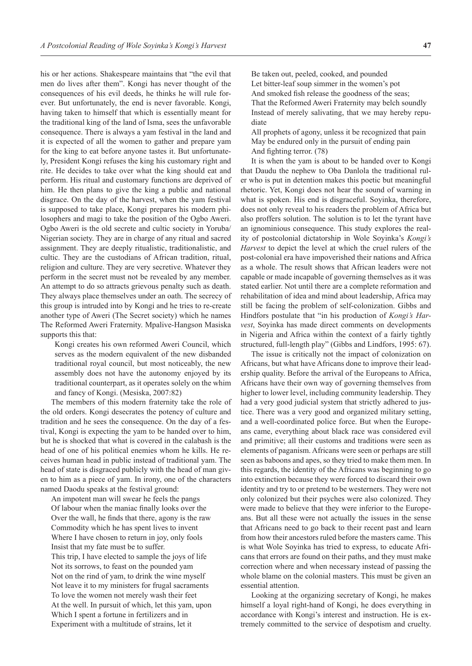his or her actions. Shakespeare maintains that "the evil that men do lives after them". Kongi has never thought of the consequences of his evil deeds, he thinks he will rule forever. But unfortunately, the end is never favorable. Kongi, having taken to himself that which is essentially meant for the traditional king of the land of Isma, sees the unfavorable consequence. There is always a yam festival in the land and it is expected of all the women to gather and prepare yam for the king to eat before anyone tastes it. But unfortunately, President Kongi refuses the king his customary right and rite. He decides to take over what the king should eat and perform. His ritual and customary functions are deprived of him. He then plans to give the king a public and national disgrace. On the day of the harvest, when the yam festival is supposed to take place, Kongi prepares his modern philosophers and magi to take the position of the Ogbo Aweri. Ogbo Aweri is the old secrete and cultic society in Yoruba/ Nigerian society. They are in charge of any ritual and sacred assignment. They are deeply ritualistic, traditionalistic, and cultic. They are the custodians of African tradition, ritual, religion and culture. They are very secretive. Whatever they perform in the secret must not be revealed by any member. An attempt to do so attracts grievous penalty such as death. They always place themselves under an oath. The secrecy of this group is intruded into by Kongi and he tries to re-create another type of Aweri (The Secret society) which he names The Reformed Aweri Fraternity. Mpalive-Hangson Masiska supports this that:

Kongi creates his own reformed Aweri Council, which serves as the modern equivalent of the new disbanded traditional royal council, but most noticeably, the new assembly does not have the autonomy enjoyed by its traditional counterpart, as it operates solely on the whim and fancy of Kongi. (Mesiska, 2007:82)

The members of this modern fraternity take the role of the old orders. Kongi desecrates the potency of culture and tradition and he sees the consequence. On the day of a festival, Kongi is expecting the yam to be handed over to him, but he is shocked that what is covered in the calabash is the head of one of his political enemies whom he kills. He receives human head in public instead of traditional yam. The head of state is disgraced publicly with the head of man given to him as a piece of yam. In irony, one of the characters named Daodu speaks at the festival ground:

An impotent man will swear he feels the pangs Of labour when the maniac finally looks over the Over the wall, he finds that there, agony is the raw Commodity which he has spent lives to invent Where I have chosen to return in joy, only fools Insist that my fate must be to suffer. This trip, I have elected to sample the joys of life Not its sorrows, to feast on the pounded yam Not on the rind of yam, to drink the wine myself Not leave it to my ministers for frugal sacraments To love the women not merely wash their feet At the well. In pursuit of which, let this yam, upon Which I spent a fortune in fertilizers and in Experiment with a multitude of strains, let it

Be taken out, peeled, cooked, and pounded Let bitter-leaf soup simmer in the women's pot And smoked fish release the goodness of the seas; That the Reformed Aweri Fraternity may belch soundly Instead of merely salivating, that we may hereby repudiate

All prophets of agony, unless it be recognized that pain May be endured only in the pursuit of ending pain And fighting terror. (78)

It is when the yam is about to be handed over to Kongi that Daudu the nephew to Oba Danlola the traditional ruler who is put in detention makes this poetic but meaningful rhetoric. Yet, Kongi does not hear the sound of warning in what is spoken. His end is disgraceful. Soyinka, therefore, does not only reveal to his readers the problem of Africa but also proffers solution. The solution is to let the tyrant have an ignominious consequence. This study explores the reality of postcolonial dictatorship in Wole Soyinka's *Kongi's Harvest* to depict the level at which the cruel rulers of the post-colonial era have impoverished their nations and Africa as a whole. The result shows that African leaders were not capable or made incapable of governing themselves as it was stated earlier. Not until there are a complete reformation and rehabilitation of idea and mind about leadership, Africa may still be facing the problem of self-colonization. Gibbs and Hindfors postulate that "in his production of *Kongi's Harvest*, Soyinka has made direct comments on developments in Nigeria and Africa within the context of a fairly tightly structured, full-length play" (Gibbs and Lindfors, 1995: 67).

The issue is critically not the impact of colonization on Africans, but what have Africans done to improve their leadership quality. Before the arrival of the Europeans to Africa, Africans have their own way of governing themselves from higher to lower level, including community leadership. They had a very good judicial system that strictly adhered to justice. There was a very good and organized military setting, and a well-coordinated police force. But when the Europeans came, everything about black race was considered evil and primitive; all their customs and traditions were seen as elements of paganism. Africans were seen or perhaps are still seen as baboons and apes, so they tried to make them men. In this regards, the identity of the Africans was beginning to go into extinction because they were forced to discard their own identity and try to or pretend to be westerners. They were not only colonized but their psyches were also colonized. They were made to believe that they were inferior to the Europeans. But all these were not actually the issues in the sense that Africans need to go back to their recent past and learn from how their ancestors ruled before the masters came. This is what Wole Soyinka has tried to express, to educate Africans that errors are found on their paths, and they must make correction where and when necessary instead of passing the whole blame on the colonial masters. This must be given an essential attention.

Looking at the organizing secretary of Kongi, he makes himself a loyal right-hand of Kongi, he does everything in accordance with Kongi's interest and instruction. He is extremely committed to the service of despotism and cruelty.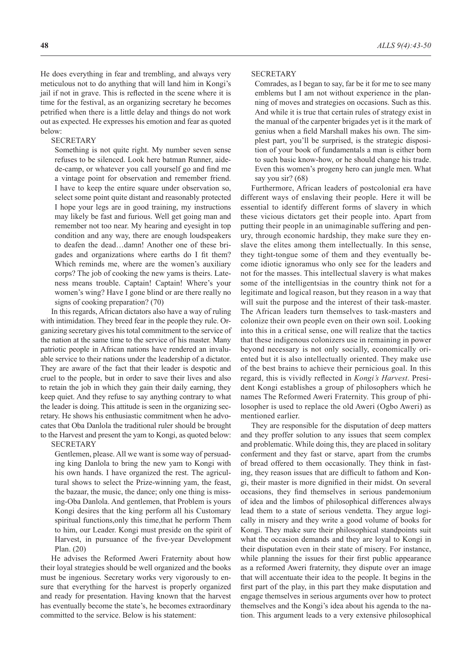He does everything in fear and trembling, and always very meticulous not to do anything that will land him in Kongi's jail if not in grave. This is reflected in the scene where it is time for the festival, as an organizing secretary he becomes petrified when there is a little delay and things do not work out as expected. He expresses his emotion and fear as quoted below:

### **SECRETARY**

Something is not quite right. My number seven sense refuses to be silenced. Look here batman Runner, aidede-camp, or whatever you call yourself go and find me a vintage point for observation and remember friend. I have to keep the entire square under observation so, select some point quite distant and reasonably protected I hope your legs are in good training, my instructions may likely be fast and furious. Well get going man and remember not too near. My hearing and eyesight in top condition and any way, there are enough loudspeakers to deafen the dead…damn! Another one of these brigades and organizations where earths do I fit them? Which reminds me, where are the women's auxiliary corps? The job of cooking the new yams is theirs. Lateness means trouble. Captain! Captain! Where's your women's wing? Have I gone blind or are there really no signs of cooking preparation? (70)

In this regards, African dictators also have a way of ruling with intimidation. They breed fear in the people they rule. Organizing secretary gives his total commitment to the service of the nation at the same time to the service of his master. Many patriotic people in African nations have rendered an invaluable service to their nations under the leadership of a dictator. They are aware of the fact that their leader is despotic and cruel to the people, but in order to save their lives and also to retain the job in which they gain their daily earning, they keep quiet. And they refuse to say anything contrary to what the leader is doing. This attitude is seen in the organizing secretary. He shows his enthusiastic commitment when he advocates that Oba Danlola the traditional ruler should be brought to the Harvest and present the yam to Kongi, as quoted below:

**SECRETARY** 

Gentlemen, please. All we want is some way of persuading king Danlola to bring the new yam to Kongi with his own hands. I have organized the rest. The agricultural shows to select the Prize-winning yam, the feast, the bazaar, the music, the dance; only one thing is missing-Oba Danlola. And gentlemen, that Problem is yours Kongi desires that the king perform all his Customary spiritual functions,only this time,that he perform Them to him, our Leader. Kongi must preside on the spirit of Harvest, in pursuance of the five-year Development Plan. (20)

He advises the Reformed Aweri Fraternity about how their loyal strategies should be well organized and the books must be ingenious. Secretary works very vigorously to ensure that everything for the harvest is properly organized and ready for presentation. Having known that the harvest has eventually become the state's, he becomes extraordinary committed to the service. Below is his statement:

### **SECRETARY**

Comrades, as I began to say, far be it for me to see many emblems but I am not without experience in the planning of moves and strategies on occasions. Such as this. And while it is true that certain rules of strategy exist in the manual of the carpenter brigades yet is it the mark of genius when a field Marshall makes his own. The simplest part, you'll be surprised, is the strategic disposition of your book of fundamentals a man is either born to such basic know-how, or he should change his trade. Even this women's progeny hero can jungle men. What say you sir? (68)

Furthermore, African leaders of postcolonial era have different ways of enslaving their people. Here it will be essential to identify different forms of slavery in which these vicious dictators get their people into. Apart from putting their people in an unimaginable suffering and penury, through economic hardship, they make sure they enslave the elites among them intellectually. In this sense, they tight-tongue some of them and they eventually become idiotic ignoramus who only see for the leaders and not for the masses. This intellectual slavery is what makes some of the intelligentsias in the country think not for a legitimate and logical reason, but they reason in a way that will suit the purpose and the interest of their task-master. The African leaders turn themselves to task-masters and colonize their own people even on their own soil. Looking into this in a critical sense, one will realize that the tactics that these indigenous colonizers use in remaining in power beyond necessary is not only socially, economically oriented but it is also intellectually oriented. They make use of the best brains to achieve their pernicious goal. In this regard, this is vividly reflected in *Kongi's Harvest*. President Kongi establishes a group of philosophers which he names The Reformed Aweri Fraternity. This group of philosopher is used to replace the old Aweri (Ogbo Aweri) as mentioned earlier.

They are responsible for the disputation of deep matters and they proffer solution to any issues that seem complex and problematic. While doing this, they are placed in solitary conferment and they fast or starve, apart from the crumbs of bread offered to them occasionally. They think in fasting, they reason issues that are difficult to fathom and Kongi, their master is more dignified in their midst. On several occasions, they find themselves in serious pandemonium of idea and the limbos of philosophical differences always lead them to a state of serious vendetta. They argue logically in misery and they write a good volume of books for Kongi. They make sure their philosophical standpoints suit what the occasion demands and they are loyal to Kongi in their disputation even in their state of misery. For instance, while planning the issues for their first public appearance as a reformed Aweri fraternity, they dispute over an image that will accentuate their idea to the people. It begins in the first part of the play, in this part they make disputation and engage themselves in serious arguments over how to protect themselves and the Kongi's idea about his agenda to the nation. This argument leads to a very extensive philosophical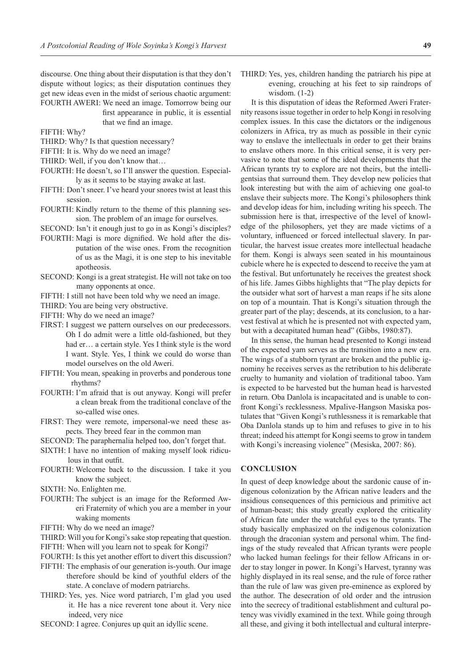discourse. One thing about their disputation is that they don't dispute without logics; as their disputation continues they get new ideas even in the midst of serious chaotic argument: FOURTH AWERI: We need an image. Tomorrow being our first appearance in public, it is essential

that we find an image.

FIFTH: Why?

- THIRD: Why? Is that question necessary?
- FIFTH: It is. Why do we need an image?
- THIRD: Well, if you don't know that…
- FOURTH: He doesn't, so I'll answer the question. Especially as it seems to be staying awake at last.
- FIFTH: Don't sneer. I've heard your snores twist at least this session.
- FOURTH: Kindly return to the theme of this planning session. The problem of an image for ourselves.
- SECOND: Isn't it enough just to go in as Kongi's disciples?
- FOURTH: Magi is more dignified. We hold after the disputation of the wise ones. From the recognition of us as the Magi, it is one step to his inevitable apotheosis.
- SECOND: Kongi is a great strategist. He will not take on too many opponents at once.
- FIFTH: I still not have been told why we need an image.
- THIRD: You are being very obstructive.
- FIFTH: Why do we need an image?
- FIRST: I suggest we pattern ourselves on our predecessors. Oh I do admit were a little old-fashioned, but they had er… a certain style. Yes I think style is the word I want. Style. Yes, I think we could do worse than model ourselves on the old Aweri.
- FIFTH: You mean, speaking in proverbs and ponderous tone rhythms?
- FOURTH: I'm afraid that is out anyway. Kongi will prefer a clean break from the traditional conclave of the so-called wise ones.
- FIRST: They were remote, impersonal-we need these aspects. They breed fear in the common man
- SECOND: The paraphernalia helped too, don't forget that.
- SIXTH: I have no intention of making myself look ridiculous in that outfit.
- FOURTH: Welcome back to the discussion. I take it you know the subject.
- SIXTH: No. Enlighten me.
- FOURTH: The subject is an image for the Reformed Aweri Fraternity of which you are a member in your waking moments
- FIFTH: Why do we need an image?
- THIRD: Will you for Kongi's sake stop repeating that question.
- FIFTH: When will you learn not to speak for Kongi?
- FOURTH: Is this yet another effort to divert this discussion?
- FIFTH: The emphasis of our generation is-youth. Our image therefore should be kind of youthful elders of the state. A conclave of modern patriarchs.
- THIRD: Yes, yes. Nice word patriarch, I'm glad you used it. He has a nice reverent tone about it. Very nice indeed, very nice
- SECOND: I agree. Conjures up quit an idyllic scene.

THIRD: Yes, yes, children handing the patriarch his pipe at evening, crouching at his feet to sip raindrops of wisdom. (1-2)

It is this disputation of ideas the Reformed Aweri Fraternity reasons issue together in order to help Kongi in resolving complex issues. In this case the dictators or the indigenous colonizers in Africa, try as much as possible in their cynic way to enslave the intellectuals in order to get their brains to enslave others more. In this critical sense, it is very pervasive to note that some of the ideal developments that the African tyrants try to explore are not theirs, but the intelligentsias that surround them. They develop new policies that look interesting but with the aim of achieving one goal-to enslave their subjects more. The Kongi's philosophers think and develop ideas for him, including writing his speech. The submission here is that, irrespective of the level of knowledge of the philosophers, yet they are made victims of a voluntary, influenced or forced intellectual slavery. In particular, the harvest issue creates more intellectual headache for them. Kongi is always seen seated in his mountainous cubicle where he is expected to descend to receive the yam at the festival. But unfortunately he receives the greatest shock of his life. James Gibbs highlights that "The play depicts for the outsider what sort of harvest a man reaps if he sits alone on top of a mountain. That is Kongi's situation through the greater part of the play; descends, at its conclusion, to a harvest festival at which he is presented not with expected yam, but with a decapitated human head" (Gibbs, 1980:87).

In this sense, the human head presented to Kongi instead of the expected yam serves as the transition into a new era. The wings of a stubborn tyrant are broken and the public ignominy he receives serves as the retribution to his deliberate cruelty to humanity and violation of traditional taboo. Yam is expected to be harvested but the human head is harvested in return. Oba Danlola is incapacitated and is unable to confront Kongi's recklessness. Mpalive-Hangson Masiska postulates that "Given Kongi's ruthlessness it is remarkable that Oba Danlola stands up to him and refuses to give in to his threat; indeed his attempt for Kongi seems to grow in tandem with Kongi's increasing violence" (Mesiska, 2007: 86).

## **CONCLUSION**

In quest of deep knowledge about the sardonic cause of indigenous colonization by the African native leaders and the insidious consequences of this pernicious and primitive act of human-beast; this study greatly explored the criticality of African fate under the watchful eyes to the tyrants. The study basically emphasized on the indigenous colonization through the draconian system and personal whim. The findings of the study revealed that African tyrants were people who lacked human feelings for their fellow Africans in order to stay longer in power. In Kongi's Harvest, tyranny was highly displayed in its real sense, and the rule of force rather than the rule of law was given pre-eminence as explored by the author. The desecration of old order and the intrusion into the secrecy of traditional establishment and cultural potency was vividly examined in the text. While going through all these, and giving it both intellectual and cultural interpre